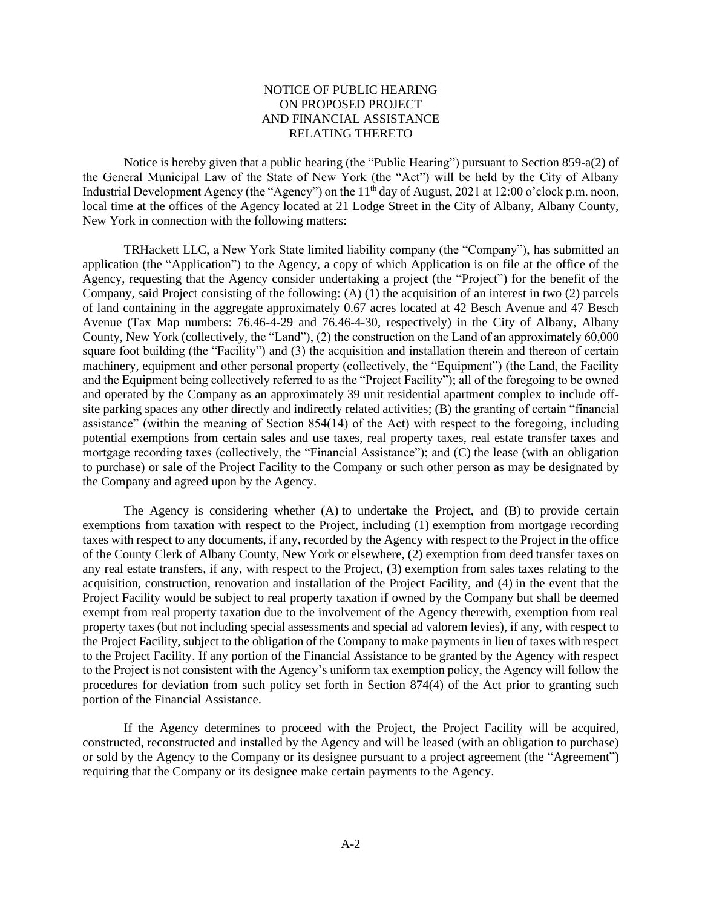## NOTICE OF PUBLIC HEARING ON PROPOSED PROJECT AND FINANCIAL ASSISTANCE RELATING THERETO

Notice is hereby given that a public hearing (the "Public Hearing") pursuant to Section 859-a(2) of the General Municipal Law of the State of New York (the "Act") will be held by the City of Albany Industrial Development Agency (the "Agency") on the 11<sup>th</sup> day of August, 2021 at 12:00 o'clock p.m. noon, local time at the offices of the Agency located at 21 Lodge Street in the City of Albany, Albany County, New York in connection with the following matters:

TRHackett LLC, a New York State limited liability company (the "Company"), has submitted an application (the "Application") to the Agency, a copy of which Application is on file at the office of the Agency, requesting that the Agency consider undertaking a project (the "Project") for the benefit of the Company, said Project consisting of the following: (A) (1) the acquisition of an interest in two (2) parcels of land containing in the aggregate approximately 0.67 acres located at 42 Besch Avenue and 47 Besch Avenue (Tax Map numbers: 76.46-4-29 and 76.46-4-30, respectively) in the City of Albany, Albany County, New York (collectively, the "Land"), (2) the construction on the Land of an approximately 60,000 square foot building (the "Facility") and (3) the acquisition and installation therein and thereon of certain machinery, equipment and other personal property (collectively, the "Equipment") (the Land, the Facility and the Equipment being collectively referred to as the "Project Facility"); all of the foregoing to be owned and operated by the Company as an approximately 39 unit residential apartment complex to include offsite parking spaces any other directly and indirectly related activities; (B) the granting of certain "financial assistance" (within the meaning of Section 854(14) of the Act) with respect to the foregoing, including potential exemptions from certain sales and use taxes, real property taxes, real estate transfer taxes and mortgage recording taxes (collectively, the "Financial Assistance"); and (C) the lease (with an obligation to purchase) or sale of the Project Facility to the Company or such other person as may be designated by the Company and agreed upon by the Agency.

The Agency is considering whether (A) to undertake the Project, and (B) to provide certain exemptions from taxation with respect to the Project, including (1) exemption from mortgage recording taxes with respect to any documents, if any, recorded by the Agency with respect to the Project in the office of the County Clerk of Albany County, New York or elsewhere, (2) exemption from deed transfer taxes on any real estate transfers, if any, with respect to the Project, (3) exemption from sales taxes relating to the acquisition, construction, renovation and installation of the Project Facility, and (4) in the event that the Project Facility would be subject to real property taxation if owned by the Company but shall be deemed exempt from real property taxation due to the involvement of the Agency therewith, exemption from real property taxes (but not including special assessments and special ad valorem levies), if any, with respect to the Project Facility, subject to the obligation of the Company to make payments in lieu of taxes with respect to the Project Facility. If any portion of the Financial Assistance to be granted by the Agency with respect to the Project is not consistent with the Agency's uniform tax exemption policy, the Agency will follow the procedures for deviation from such policy set forth in Section 874(4) of the Act prior to granting such portion of the Financial Assistance.

If the Agency determines to proceed with the Project, the Project Facility will be acquired, constructed, reconstructed and installed by the Agency and will be leased (with an obligation to purchase) or sold by the Agency to the Company or its designee pursuant to a project agreement (the "Agreement") requiring that the Company or its designee make certain payments to the Agency.